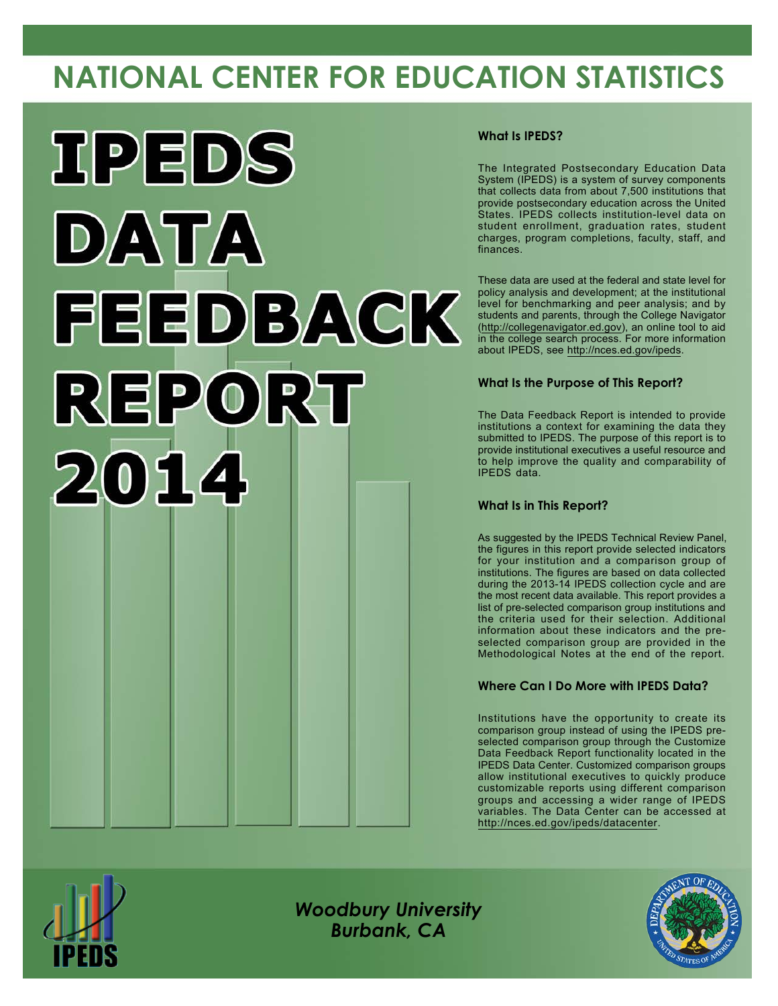# **NATIONAL CENTER FOR EDUCATION STATISTICS**



#### **What Is IPEDS?**

The Integrated Postsecondary Education Data System (IPEDS) is a system of survey components that collects data from about 7,500 institutions that provide postsecondary education across the United States. IPEDS collects institution-level data on student enrollment, graduation rates, student charges, program completions, faculty, staff, and finances.

These data are used at the federal and state level for policy analysis and development; at the institutional level for benchmarking and peer analysis; and by students and parents, through the College Navigator [\(http://collegenavigator.ed.gov](http://collegenavigator.ed.gov)), an online tool to aid in the college search process. For more information about IPEDS, see <http://nces.ed.gov/ipeds>.

#### **What Is the Purpose of This Report?**

The Data Feedback Report is intended to provide institutions a context for examining the data they submitted to IPEDS. The purpose of this report is to provide institutional executives a useful resource and to help improve the quality and comparability of IPEDS data.

#### **What Is in This Report?**

As suggested by the IPEDS Technical Review Panel, the figures in this report provide selected indicators for your institution and a comparison group of institutions. The figures are based on data collected during the 2013-14 IPEDS collection cycle and are the most recent data available. This report provides a list of pre-selected comparison group institutions and the criteria used for their selection. Additional information about these indicators and the preselected comparison group are provided in the Methodological Notes at the end of the report.

#### **Where Can I Do More with IPEDS Data?**

Institutions have the opportunity to create its comparison group instead of using the IPEDS preselected comparison group through the Customize Data Feedback Report functionality located in the IPEDS Data Center. Customized comparison groups allow institutional executives to quickly produce customizable reports using different comparison groups and accessing a wider range of IPEDS variables. The Data Center can be accessed at <http://nces.ed.gov/ipeds/datacenter>.



*Woodbury University Burbank, CA*

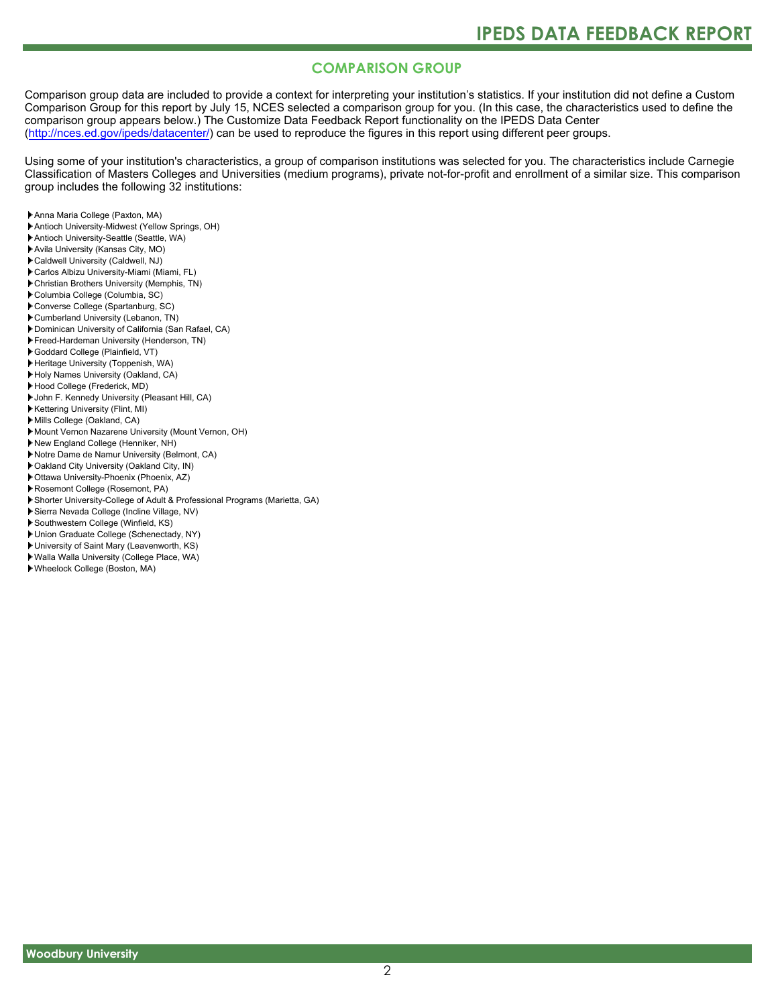### **COMPARISON GROUP**

Comparison group data are included to provide a context for interpreting your institution's statistics. If your institution did not define a Custom Comparison Group for this report by July 15, NCES selected a comparison group for you. (In this case, the characteristics used to define the comparison group appears below.) The Customize Data Feedback Report functionality on the IPEDS Data Center [\(http://nces.ed.gov/ipeds/datacenter/\)](http://nces.ed.gov/ipeds/datacenter/) can be used to reproduce the figures in this report using different peer groups.

Using some of your institution's characteristics, a group of comparison institutions was selected for you. The characteristics include Carnegie Classification of Masters Colleges and Universities (medium programs), private not-for-profit and enrollment of a similar size. This comparison group includes the following 32 institutions:

- Anna Maria College (Paxton, MA)
- Antioch University-Midwest (Yellow Springs, OH)
- Antioch University-Seattle (Seattle, WA)
- Avila University (Kansas City, MO)
- Caldwell University (Caldwell, NJ)
- Carlos Albizu University-Miami (Miami, FL)
- Christian Brothers University (Memphis, TN)
- Columbia College (Columbia, SC)
- Converse College (Spartanburg, SC)
- Cumberland University (Lebanon, TN)
- Dominican University of California (San Rafael, CA)
- Freed-Hardeman University (Henderson, TN)
- Goddard College (Plainfield, VT)
- Heritage University (Toppenish, WA)
- Holy Names University (Oakland, CA)
- Hood College (Frederick, MD)
- John F. Kennedy University (Pleasant Hill, CA)
- Kettering University (Flint, MI)
- Mills College (Oakland, CA)
- Mount Vernon Nazarene University (Mount Vernon, OH)
- New England College (Henniker, NH)
- Notre Dame de Namur University (Belmont, CA)
- Oakland City University (Oakland City, IN)
- Ottawa University-Phoenix (Phoenix, AZ)
- Rosemont College (Rosemont, PA)
- Shorter University-College of Adult & Professional Programs (Marietta, GA)
- Sierra Nevada College (Incline Village, NV)
- Southwestern College (Winfield, KS)
- Union Graduate College (Schenectady, NY)
- University of Saint Mary (Leavenworth, KS)
- Walla Walla University (College Place, WA)
- Wheelock College (Boston, MA)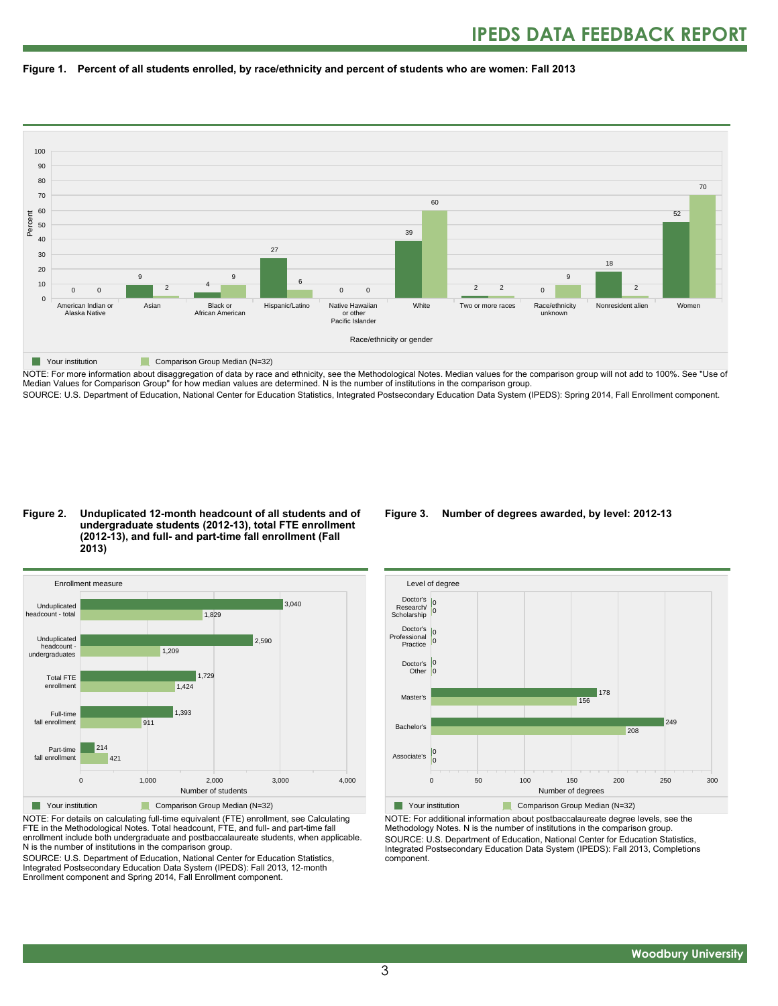



NOTE: For more information about disaggregation of data by race and ethnicity, see the Methodological Notes. Median values for the comparison group will not add to 100%. See "Use of Median Values for Comparison Group" for how median values are determined. N is the number of institutions in the comparison group. SOURCE: U.S. Department of Education, National Center for Education Statistics, Integrated Postsecondary Education Data System (IPEDS): Spring 2014, Fall Enrollment component.

#### **Figure 2. Unduplicated 12-month headcount of all students and of undergraduate students (2012-13), total FTE enrollment (2012-13), and full- and part-time fall enrollment (Fall 2013)**



NOTE: For details on calculating full-time equivalent (FTE) enrollment, see Calculating FTE in the Methodological Notes. Total headcount, FTE, and full- and part-time fall enrollment include both undergraduate and postbaccalaureate students, when applicable. N is the number of institutions in the comparison group.

SOURCE: U.S. Department of Education, National Center for Education Statistics, Integrated Postsecondary Education Data System (IPEDS): Fall 2013, 12-month Enrollment component and Spring 2014, Fall Enrollment component.

#### **Figure 3. Number of degrees awarded, by level: 2012-13**



NOTE: For additional information about postbaccalaureate degree levels, see the Methodology Notes. N is the number of institutions in the comparison group. SOURCE: U.S. Department of Education, National Center for Education Statistics, Integrated Postsecondary Education Data System (IPEDS): Fall 2013, Completions component.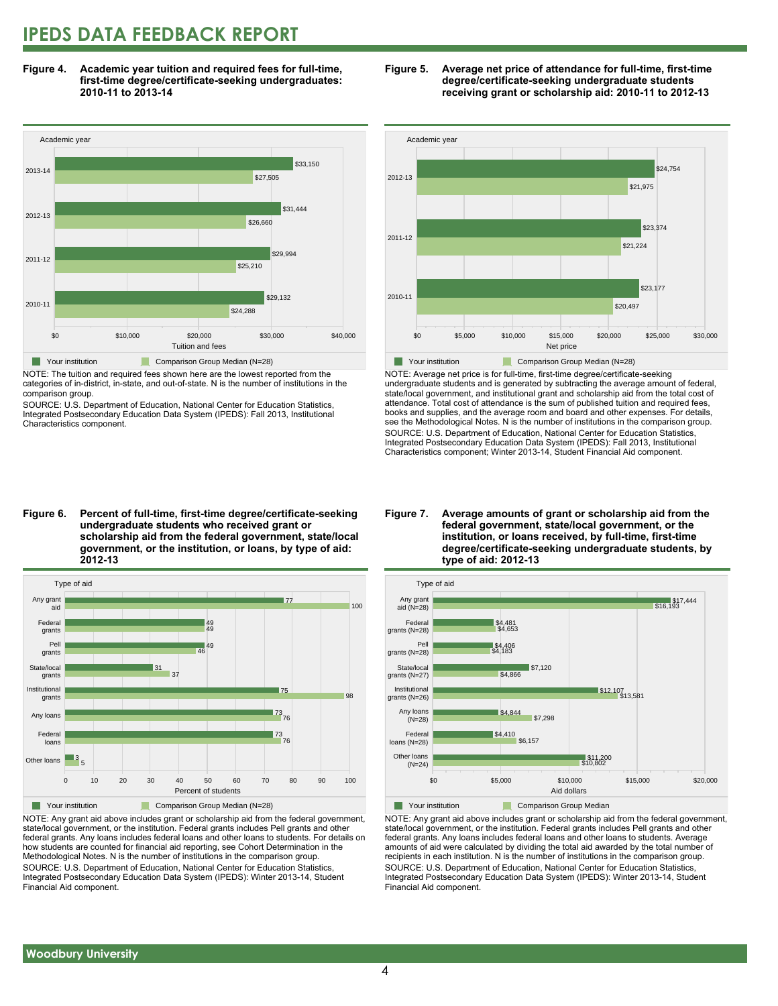### **IPEDS DATA FEEDBACK REPORT**

**Figure 4. Academic year tuition and required fees for full-time, first-time degree/certificate-seeking undergraduates: 2010-11 to 2013-14**



NOTE: The tuition and required fees shown here are the lowest reported from the categories of in-district, in-state, and out-of-state. N is the number of institutions in the comparison group.

SOURCE: U.S. Department of Education, National Center for Education Statistics, Integrated Postsecondary Education Data System (IPEDS): Fall 2013, Institutional Characteristics component.





NOTE: Average net price is for full-time, first-time degree/certificate-seeking undergraduate students and is generated by subtracting the average amount of federal, state/local government, and institutional grant and scholarship aid from the total cost of attendance. Total cost of attendance is the sum of published tuition and required fees, books and supplies, and the average room and board and other expenses. For details, see the Methodological Notes. N is the number of institutions in the comparison group. SOURCE: U.S. Department of Education, National Center for Education Statistics, Integrated Postsecondary Education Data System (IPEDS): Fall 2013, Institutional Characteristics component; Winter 2013-14, Student Financial Aid component.

#### **Figure 6. Percent of full-time, first-time degree/certificate-seeking undergraduate students who received grant or scholarship aid from the federal government, state/local government, or the institution, or loans, by type of aid: 2012-13**



NOTE: Any grant aid above includes grant or scholarship aid from the federal government, state/local government, or the institution. Federal grants includes Pell grants and other federal grants. Any loans includes federal loans and other loans to students. For details on how students are counted for financial aid reporting, see Cohort Determination in the Methodological Notes. N is the number of institutions in the comparison group. SOURCE: U.S. Department of Education, National Center for Education Statistics, Integrated Postsecondary Education Data System (IPEDS): Winter 2013-14, Student Financial Aid component.

#### **Figure 7. Average amounts of grant or scholarship aid from the federal government, state/local government, or the institution, or loans received, by full-time, first-time degree/certificate-seeking undergraduate students, by type of aid: 2012-13**



NOTE: Any grant aid above includes grant or scholarship aid from the federal government, state/local government, or the institution. Federal grants includes Pell grants and other federal grants. Any loans includes federal loans and other loans to students. Average amounts of aid were calculated by dividing the total aid awarded by the total number of recipients in each institution. N is the number of institutions in the comparison group. SOURCE: U.S. Department of Education, National Center for Education Statistics, Integrated Postsecondary Education Data System (IPEDS): Winter 2013-14, Student Financial Aid component.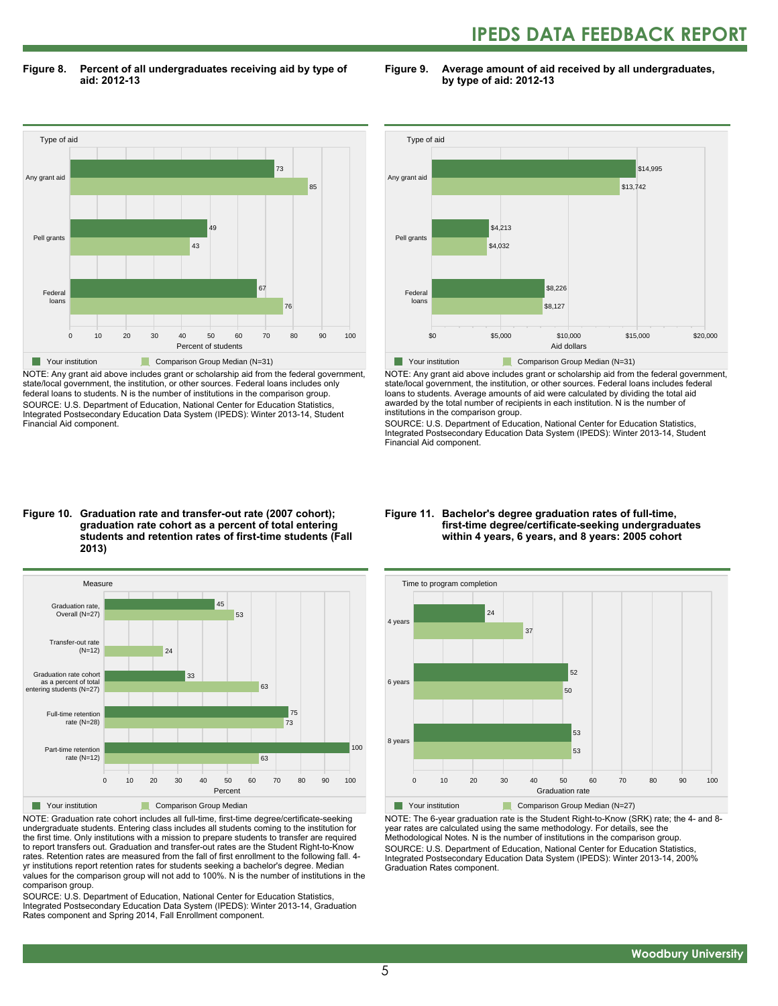## **IPEDS DATA FEEDBACK REPORT**

**Figure 8. Percent of all undergraduates receiving aid by type of aid: 2012-13**

**Figure 9. Average amount of aid received by all undergraduates, by type of aid: 2012-13**



NOTE: Any grant aid above includes grant or scholarship aid from the federal government, state/local government, the institution, or other sources. Federal loans includes only federal loans to students. N is the number of institutions in the comparison group. SOURCE: U.S. Department of Education, National Center for Education Statistics, Integrated Postsecondary Education Data System (IPEDS): Winter 2013-14, Student Financial Aid component.



NOTE: Any grant aid above includes grant or scholarship aid from the federal government, state/local government, the institution, or other sources. Federal loans includes federal loans to students. Average amounts of aid were calculated by dividing the total aid awarded by the total number of recipients in each institution. N is the number of institutions in the comparison group.

SOURCE: U.S. Department of Education, National Center for Education Statistics, Integrated Postsecondary Education Data System (IPEDS): Winter 2013-14, Student Financial Aid component.

#### **Figure 10. Graduation rate and transfer-out rate (2007 cohort); graduation rate cohort as a percent of total entering students and retention rates of first-time students (Fall 2013)**



NOTE: Graduation rate cohort includes all full-time, first-time degree/certificate-seeking undergraduate students. Entering class includes all students coming to the institution for the first time. Only institutions with a mission to prepare students to transfer are required to report transfers out. Graduation and transfer-out rates are the Student Right-to-Know rates. Retention rates are measured from the fall of first enrollment to the following fall. 4 yr institutions report retention rates for students seeking a bachelor's degree. Median values for the comparison group will not add to 100%. N is the number of institutions in the comparison group.

SOURCE: U.S. Department of Education, National Center for Education Statistics, Integrated Postsecondary Education Data System (IPEDS): Winter 2013-14, Graduation Rates component and Spring 2014, Fall Enrollment component.

#### **Figure 11. Bachelor's degree graduation rates of full-time, first-time degree/certificate-seeking undergraduates within 4 years, 6 years, and 8 years: 2005 cohort**



NOTE: The 6-year graduation rate is the Student Right-to-Know (SRK) rate; the 4- and 8 year rates are calculated using the same methodology. For details, see the Methodological Notes. N is the number of institutions in the comparison group. SOURCE: U.S. Department of Education, National Center for Education Statistics, Integrated Postsecondary Education Data System (IPEDS): Winter 2013-14, 200% Graduation Rates component.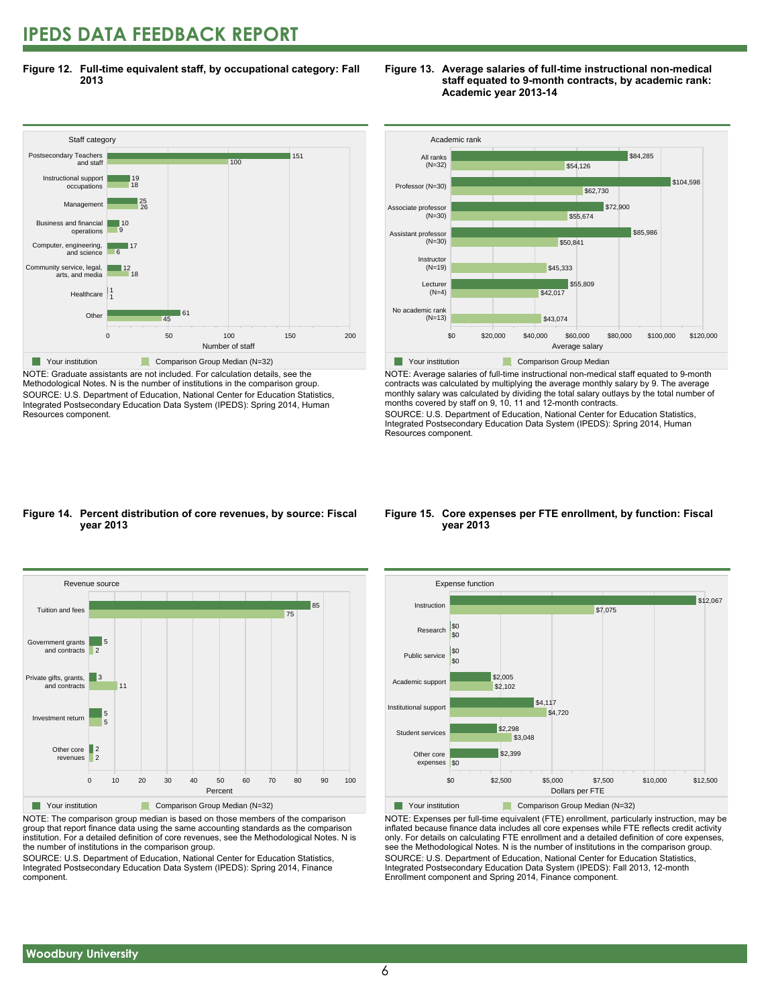### **IPEDS DATA FEEDBACK REPORT**

**Figure 12. Full-time equivalent staff, by occupational category: Fall 2013**



NOTE: Graduate assistants are not included. For calculation details, see the Methodological Notes. N is the number of institutions in the comparison group. SOURCE: U.S. Department of Education, National Center for Education Statistics, Integrated Postsecondary Education Data System (IPEDS): Spring 2014, Human Resources component.





NOTE: Average salaries of full-time instructional non-medical staff equated to 9-month contracts was calculated by multiplying the average monthly salary by 9. The average monthly salary was calculated by dividing the total salary outlays by the total number of months covered by staff on 9, 10, 11 and 12-month contracts.

SOURCE: U.S. Department of Education, National Center for Education Statistics, Integrated Postsecondary Education Data System (IPEDS): Spring 2014, Human Resources component.

#### **Figure 14. Percent distribution of core revenues, by source: Fiscal year 2013**



NOTE: The comparison group median is based on those members of the comparison group that report finance data using the same accounting standards as the comparison institution. For a detailed definition of core revenues, see the Methodological Notes. N is the number of institutions in the comparison group.

SOURCE: U.S. Department of Education, National Center for Education Statistics, Integrated Postsecondary Education Data System (IPEDS): Spring 2014, Finance component.

#### **Figure 15. Core expenses per FTE enrollment, by function: Fiscal year 2013**



NOTE: Expenses per full-time equivalent (FTE) enrollment, particularly instruction, may be inflated because finance data includes all core expenses while FTE reflects credit activity only. For details on calculating FTE enrollment and a detailed definition of core expenses, see the Methodological Notes. N is the number of institutions in the comparison group. SOURCE: U.S. Department of Education, National Center for Education Statistics, Integrated Postsecondary Education Data System (IPEDS): Fall 2013, 12-month Enrollment component and Spring 2014, Finance component.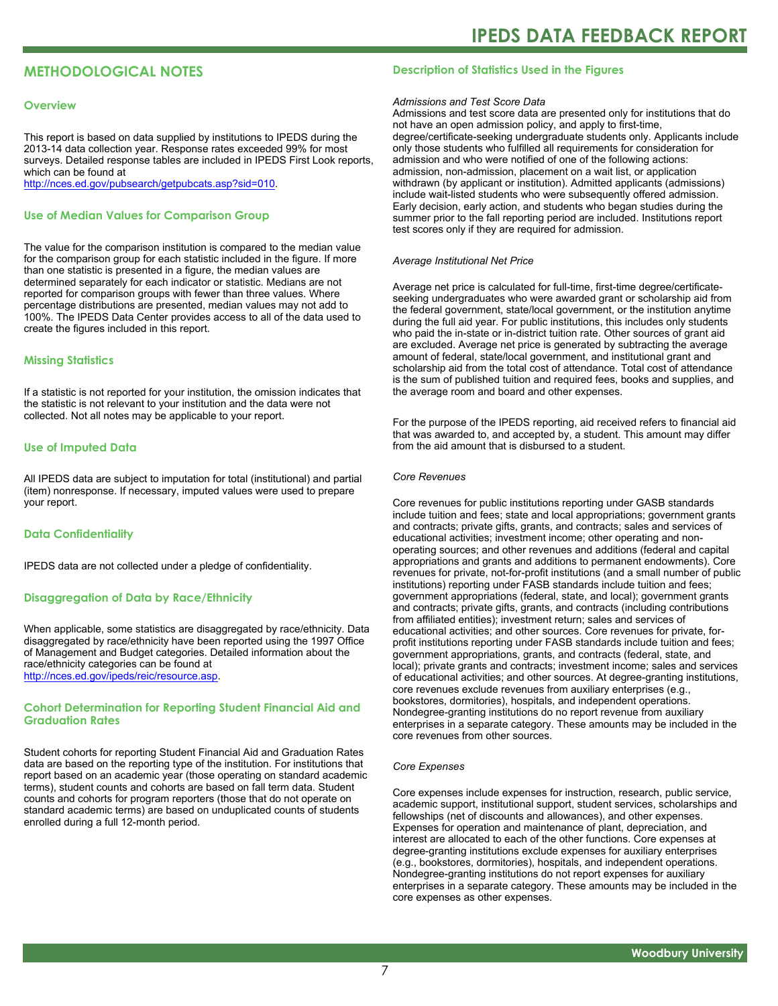#### **METHODOLOGICAL NOTES**

#### **Overview**

This report is based on data supplied by institutions to IPEDS during the 2013-14 data collection year. Response rates exceeded 99% for most surveys. Detailed response tables are included in IPEDS First Look reports, which can be found at [http://nces.ed.gov/pubsearch/getpubcats.asp?sid=010.](http://nces.ed.gov/pubsearch/getpubcats.asp?sid=010)

#### **Use of Median Values for Comparison Group**

The value for the comparison institution is compared to the median value for the comparison group for each statistic included in the figure. If more than one statistic is presented in a figure, the median values are determined separately for each indicator or statistic. Medians are not reported for comparison groups with fewer than three values. Where percentage distributions are presented, median values may not add to 100%. The IPEDS Data Center provides access to all of the data used to create the figures included in this report.

#### **Missing Statistics**

If a statistic is not reported for your institution, the omission indicates that the statistic is not relevant to your institution and the data were not collected. Not all notes may be applicable to your report.

#### **Use of Imputed Data**

All IPEDS data are subject to imputation for total (institutional) and partial (item) nonresponse. If necessary, imputed values were used to prepare your report.

#### **Data Confidentiality**

IPEDS data are not collected under a pledge of confidentiality.

#### **Disaggregation of Data by Race/Ethnicity**

When applicable, some statistics are disaggregated by race/ethnicity. Data disaggregated by race/ethnicity have been reported using the 1997 Office of Management and Budget categories. Detailed information about the race/ethnicity categories can be found at <http://nces.ed.gov/ipeds/reic/resource.asp>.

#### **Cohort Determination for Reporting Student Financial Aid and Graduation Rates**

Student cohorts for reporting Student Financial Aid and Graduation Rates data are based on the reporting type of the institution. For institutions that report based on an academic year (those operating on standard academic terms), student counts and cohorts are based on fall term data. Student counts and cohorts for program reporters (those that do not operate on standard academic terms) are based on unduplicated counts of students enrolled during a full 12-month period.

#### **Description of Statistics Used in the Figures**

#### *Admissions and Test Score Data*

Admissions and test score data are presented only for institutions that do not have an open admission policy, and apply to first-time, degree/certificate-seeking undergraduate students only. Applicants include only those students who fulfilled all requirements for consideration for admission and who were notified of one of the following actions: admission, non-admission, placement on a wait list, or application withdrawn (by applicant or institution). Admitted applicants (admissions) include wait-listed students who were subsequently offered admission. Early decision, early action, and students who began studies during the summer prior to the fall reporting period are included. Institutions report test scores only if they are required for admission.

#### *Average Institutional Net Price*

Average net price is calculated for full-time, first-time degree/certificateseeking undergraduates who were awarded grant or scholarship aid from the federal government, state/local government, or the institution anytime during the full aid year. For public institutions, this includes only students who paid the in-state or in-district tuition rate. Other sources of grant aid are excluded. Average net price is generated by subtracting the average amount of federal, state/local government, and institutional grant and scholarship aid from the total cost of attendance. Total cost of attendance is the sum of published tuition and required fees, books and supplies, and the average room and board and other expenses.

For the purpose of the IPEDS reporting, aid received refers to financial aid that was awarded to, and accepted by, a student. This amount may differ from the aid amount that is disbursed to a student.

#### *Core Revenues*

Core revenues for public institutions reporting under GASB standards include tuition and fees; state and local appropriations; government grants and contracts; private gifts, grants, and contracts; sales and services of educational activities; investment income; other operating and nonoperating sources; and other revenues and additions (federal and capital appropriations and grants and additions to permanent endowments). Core revenues for private, not-for-profit institutions (and a small number of public institutions) reporting under FASB standards include tuition and fees; government appropriations (federal, state, and local); government grants and contracts; private gifts, grants, and contracts (including contributions from affiliated entities); investment return; sales and services of educational activities; and other sources. Core revenues for private, forprofit institutions reporting under FASB standards include tuition and fees; government appropriations, grants, and contracts (federal, state, and local); private grants and contracts; investment income; sales and services of educational activities; and other sources. At degree-granting institutions, core revenues exclude revenues from auxiliary enterprises (e.g., bookstores, dormitories), hospitals, and independent operations. Nondegree-granting institutions do no report revenue from auxiliary enterprises in a separate category. These amounts may be included in the core revenues from other sources.

#### *Core Expenses*

Core expenses include expenses for instruction, research, public service, academic support, institutional support, student services, scholarships and fellowships (net of discounts and allowances), and other expenses. Expenses for operation and maintenance of plant, depreciation, and interest are allocated to each of the other functions. Core expenses at degree-granting institutions exclude expenses for auxiliary enterprises (e.g., bookstores, dormitories), hospitals, and independent operations. Nondegree-granting institutions do not report expenses for auxiliary enterprises in a separate category. These amounts may be included in the core expenses as other expenses.